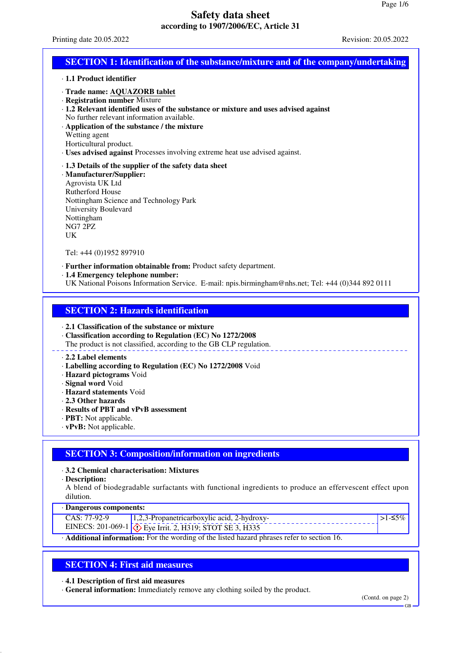Printing date 20.05.2022 Revision: 20.05.2022

### **SECTION 1: Identification of the substance/mixture and of the company/undertaking**

- · **1.1 Product identifier**
- · **Trade name: AQUAZORB tablet**
- · **Registration number** Mixture
- · **1.2 Relevant identified uses of the substance or mixture and uses advised against** No further relevant information available.
- · **Application of the substance / the mixture**
- Wetting agent
- Horticultural product.
- · **Uses advised against** Processes involving extreme heat use advised against.
- · **1.3 Details of the supplier of the safety data sheet**
- · **Manufacturer/Supplier:** Agrovista UK Ltd Rutherford House Nottingham Science and Technology Park University Boulevard Nottingham NG7 2PZ UK

Tel: +44 (0)1952 897910

- · **Further information obtainable from:** Product safety department.
- · **1.4 Emergency telephone number:**
- UK National Poisons Information Service. E-mail: npis.birmingham@nhs.net; Tel: +44 (0)344 892 0111

### **SECTION 2: Hazards identification**

#### · **2.1 Classification of the substance or mixture**

· **Classification according to Regulation (EC) No 1272/2008**

The product is not classified, according to the GB CLP regulation.

### · **2.2 Label elements**

- · **Labelling according to Regulation (EC) No 1272/2008** Void
- · **Hazard pictograms** Void
- · **Signal word** Void
- · **Hazard statements** Void
- · **2.3 Other hazards**
- · **Results of PBT and vPvB assessment**
- · **PBT:** Not applicable.
- · **vPvB:** Not applicable.

# **SECTION 3: Composition/information on ingredients**

### · **3.2 Chemical characterisation: Mixtures**

· **Description:**

A blend of biodegradable surfactants with functional ingredients to produce an effervescent effect upon dilution.

· **Dangerous components:**

| $20.0000$ $-0.0000$ $-0.0000$ |                                                                         |  |  |  |
|-------------------------------|-------------------------------------------------------------------------|--|--|--|
| CAS: 77-92-9                  | $1,2,3$ -Propanetricarboxylic acid, 2-hydroxy-                          |  |  |  |
|                               | EINECS: 201-069-1 $\sqrt{\sqrt{2}}$ Eye Irrit. 2, H319; STOT SE 3, H335 |  |  |  |
| .                             |                                                                         |  |  |  |

· **Additional information:** For the wording of the listed hazard phrases refer to section 16.

# **SECTION 4: First aid measures**

· **4.1 Description of first aid measures**

· **General information:** Immediately remove any clothing soiled by the product.

(Contd. on page 2)

GB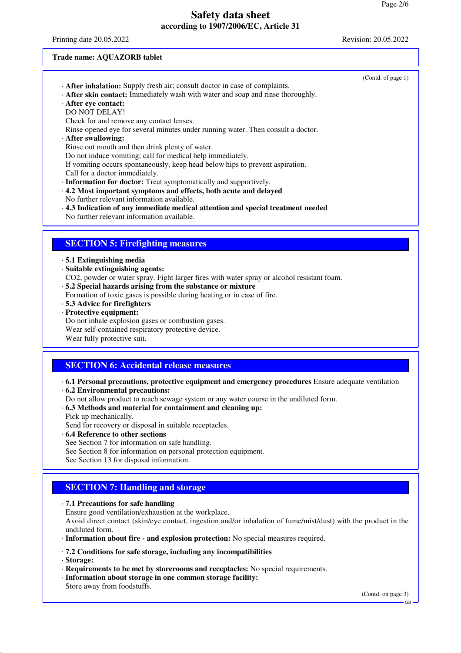Printing date 20.05.2022 Revision: 20.05.2022

(Contd. of page 1)

#### **Trade name: AQUAZORB tablet**

- · **After inhalation:** Supply fresh air; consult doctor in case of complaints.
- · **After skin contact:** Immediately wash with water and soap and rinse thoroughly.
- · **After eye contact:**
- DO NOT DELAY!
- Check for and remove any contact lenses.
- Rinse opened eye for several minutes under running water. Then consult a doctor.
- · **After swallowing:**
- Rinse out mouth and then drink plenty of water.
- Do not induce vomiting; call for medical help immediately.
- If vomiting occurs spontaneously, keep head below hips to prevent aspiration.
- Call for a doctor immediately.
- · **Information for doctor:** Treat symptomatically and supportively.
- · **4.2 Most important symptoms and effects, both acute and delayed** No further relevant information available.
- · **4.3 Indication of any immediate medical attention and special treatment needed** No further relevant information available.

### **SECTION 5: Firefighting measures**

#### · **5.1 Extinguishing media**

- · **Suitable extinguishing agents:**
- CO2, powder or water spray. Fight larger fires with water spray or alcohol resistant foam.
- · **5.2 Special hazards arising from the substance or mixture**
- Formation of toxic gases is possible during heating or in case of fire.
- · **5.3 Advice for firefighters**
- · **Protective equipment:**
- Do not inhale explosion gases or combustion gases.
- Wear self-contained respiratory protective device.
- Wear fully protective suit.

### **SECTION 6: Accidental release measures**

- · **6.1 Personal precautions, protective equipment and emergency procedures** Ensure adequate ventilation
- · **6.2 Environmental precautions:**
- Do not allow product to reach sewage system or any water course in the undiluted form.
- · **6.3 Methods and material for containment and cleaning up:**
- Pick up mechanically.
- Send for recovery or disposal in suitable receptacles.
- · **6.4 Reference to other sections**
- See Section 7 for information on safe handling.
- See Section 8 for information on personal protection equipment.
- See Section 13 for disposal information.

# **SECTION 7: Handling and storage**

#### · **7.1 Precautions for safe handling**

Ensure good ventilation/exhaustion at the workplace.

Avoid direct contact (skin/eye contact, ingestion and/or inhalation of fume/mist/dust) with the product in the undiluted form.

- · **Information about fire and explosion protection:** No special measures required.
- · **7.2 Conditions for safe storage, including any incompatibilities**
- · **Storage:**
- · **Requirements to be met by storerooms and receptacles:** No special requirements.
- · **Information about storage in one common storage facility:**

Store away from foodstuffs.

(Contd. on page 3)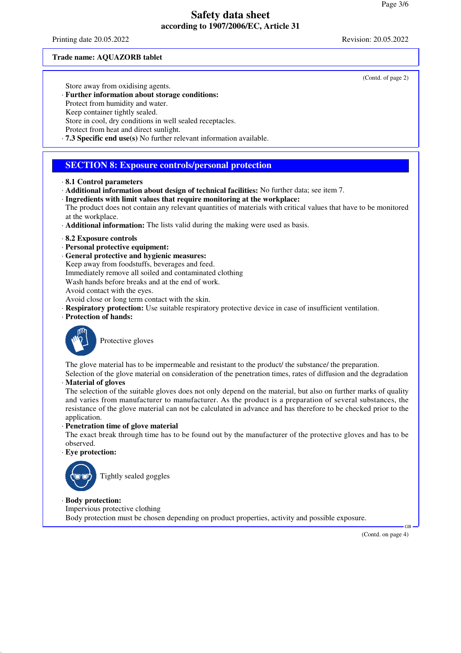Printing date 20.05.2022 Revision: 20.05.2022

#### **Trade name: AQUAZORB tablet**

(Contd. of page 2)

Store away from oxidising agents.

- · **Further information about storage conditions:**
- Protect from humidity and water.
- Keep container tightly sealed.

Store in cool, dry conditions in well sealed receptacles.

- Protect from heat and direct sunlight.
- · **7.3 Specific end use(s)** No further relevant information available.

### **SECTION 8: Exposure controls/personal protection**

- · **8.1 Control parameters**
- · **Additional information about design of technical facilities:** No further data; see item 7.
- · **Ingredients with limit values that require monitoring at the workplace:**
- The product does not contain any relevant quantities of materials with critical values that have to be monitored at the workplace.
- · **Additional information:** The lists valid during the making were used as basis.
- · **8.2 Exposure controls**
- · **Personal protective equipment:**
- · **General protective and hygienic measures:**
- Keep away from foodstuffs, beverages and feed.
- Immediately remove all soiled and contaminated clothing
- Wash hands before breaks and at the end of work.
- Avoid contact with the eyes.
- Avoid close or long term contact with the skin.
- · **Respiratory protection:** Use suitable respiratory protective device in case of insufficient ventilation.
- · **Protection of hands:**



Protective gloves

The glove material has to be impermeable and resistant to the product/ the substance/ the preparation. Selection of the glove material on consideration of the penetration times, rates of diffusion and the degradation

· **Material of gloves**

The selection of the suitable gloves does not only depend on the material, but also on further marks of quality and varies from manufacturer to manufacturer. As the product is a preparation of several substances, the resistance of the glove material can not be calculated in advance and has therefore to be checked prior to the application.

### · **Penetration time of glove material**

The exact break through time has to be found out by the manufacturer of the protective gloves and has to be observed.

· **Eye protection:**



Tightly sealed goggles

### · **Body protection:**

Impervious protective clothing Body protection must be chosen depending on product properties, activity and possible exposure.

(Contd. on page 4)

GB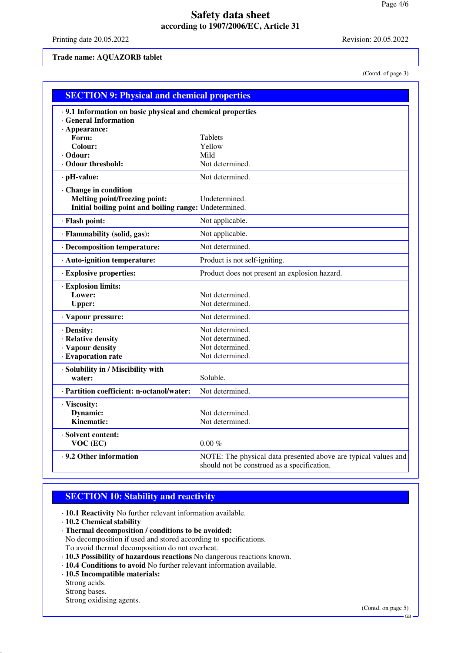Printing date 20.05.2022 Revision: 20.05.2022

**Trade name: AQUAZORB tablet**

(Contd. of page 3)

| <b>SECTION 9: Physical and chemical properties</b>         |                                                                |  |  |  |
|------------------------------------------------------------|----------------------------------------------------------------|--|--|--|
| .9.1 Information on basic physical and chemical properties |                                                                |  |  |  |
| <b>General Information</b>                                 |                                                                |  |  |  |
| $\cdot$ Appearance:                                        |                                                                |  |  |  |
| Form:                                                      | Tablets                                                        |  |  |  |
| Colour:<br>· Odour:                                        | Yellow<br>Mild                                                 |  |  |  |
| ⋅ Odour threshold:                                         | Not determined.                                                |  |  |  |
| · pH-value:                                                | Not determined.                                                |  |  |  |
|                                                            |                                                                |  |  |  |
| Change in condition<br>Melting point/freezing point:       | Undetermined.                                                  |  |  |  |
| Initial boiling point and boiling range: Undetermined.     |                                                                |  |  |  |
| · Flash point:                                             | Not applicable.                                                |  |  |  |
|                                                            |                                                                |  |  |  |
| · Flammability (solid, gas):                               | Not applicable.                                                |  |  |  |
| · Decomposition temperature:                               | Not determined.                                                |  |  |  |
| · Auto-ignition temperature:                               | Product is not self-igniting.                                  |  |  |  |
| · Explosive properties:                                    | Product does not present an explosion hazard.                  |  |  |  |
| · Explosion limits:                                        |                                                                |  |  |  |
| Lower:                                                     | Not determined.                                                |  |  |  |
| <b>Upper:</b>                                              | Not determined.                                                |  |  |  |
| · Vapour pressure:                                         | Not determined.                                                |  |  |  |
| · Density:                                                 | Not determined.                                                |  |  |  |
| · Relative density                                         | Not determined.                                                |  |  |  |
| · Vapour density                                           | Not determined.                                                |  |  |  |
| · Evaporation rate                                         | Not determined.                                                |  |  |  |
| · Solubility in / Miscibility with                         |                                                                |  |  |  |
| water:                                                     | Soluble.                                                       |  |  |  |
| · Partition coefficient: n-octanol/water:                  | Not determined.                                                |  |  |  |
| · Viscosity:                                               |                                                                |  |  |  |
| Dynamic:                                                   | Not determined.                                                |  |  |  |
| Kinematic:                                                 | Not determined.                                                |  |  |  |
| · Solvent content:                                         |                                                                |  |  |  |
| VOC (EC)                                                   | $0.00 \%$                                                      |  |  |  |
| . 9.2 Other information                                    | NOTE: The physical data presented above are typical values and |  |  |  |
|                                                            | should not be construed as a specification.                    |  |  |  |

# **SECTION 10: Stability and reactivity**

· **10.1 Reactivity** No further relevant information available.

· **10.2 Chemical stability**

· **Thermal decomposition / conditions to be avoided:**

No decomposition if used and stored according to specifications.

To avoid thermal decomposition do not overheat.

- · **10.3 Possibility of hazardous reactions** No dangerous reactions known.
- · **10.4 Conditions to avoid** No further relevant information available.

· **10.5 Incompatible materials:**

Strong acids.

Strong bases.

Strong oxidising agents.

GB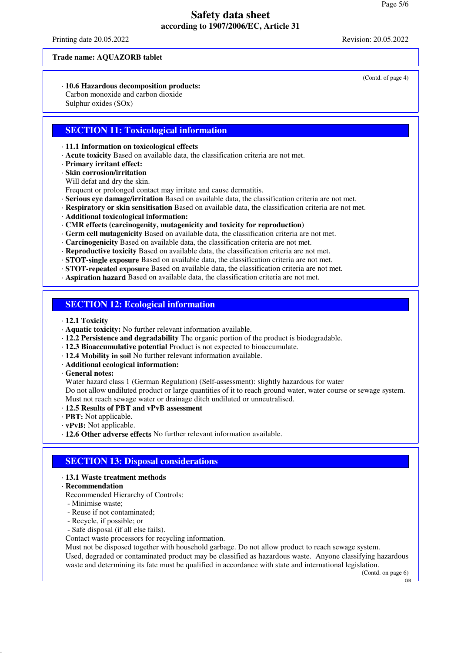Printing date 20.05.2022 Revision: 20.05.2022

(Contd. of page 4)

### **Trade name: AQUAZORB tablet**

· **10.6 Hazardous decomposition products:**

Carbon monoxide and carbon dioxide Sulphur oxides (SOx)

### **SECTION 11: Toxicological information**

· **11.1 Information on toxicological effects**

· **Acute toxicity** Based on available data, the classification criteria are not met.

· **Primary irritant effect:**

· **Skin corrosion/irritation**

Will defat and dry the skin.

Frequent or prolonged contact may irritate and cause dermatitis.

- · **Serious eye damage/irritation** Based on available data, the classification criteria are not met.
- · **Respiratory or skin sensitisation** Based on available data, the classification criteria are not met.
- · **Additional toxicological information:**
- · **CMR effects (carcinogenity, mutagenicity and toxicity for reproduction)**
- · **Germ cell mutagenicity** Based on available data, the classification criteria are not met.
- · **Carcinogenicity** Based on available data, the classification criteria are not met.
- · **Reproductive toxicity** Based on available data, the classification criteria are not met.
- · **STOT-single exposure** Based on available data, the classification criteria are not met.
- · **STOT-repeated exposure** Based on available data, the classification criteria are not met.
- · **Aspiration hazard** Based on available data, the classification criteria are not met.

### **SECTION 12: Ecological information**

- · **12.1 Toxicity**
- · **Aquatic toxicity:** No further relevant information available.
- · **12.2 Persistence and degradability** The organic portion of the product is biodegradable.
- · **12.3 Bioaccumulative potential** Product is not expected to bioaccumulate.
- · **12.4 Mobility in soil** No further relevant information available.
- · **Additional ecological information:**

· **General notes:**

Water hazard class 1 (German Regulation) (Self-assessment): slightly hazardous for water Do not allow undiluted product or large quantities of it to reach ground water, water course or sewage system. Must not reach sewage water or drainage ditch undiluted or unneutralised.

- · **12.5 Results of PBT and vPvB assessment**
- · **PBT:** Not applicable.
- · **vPvB:** Not applicable.
- · **12.6 Other adverse effects** No further relevant information available.

# **SECTION 13: Disposal considerations**

### · **13.1 Waste treatment methods**

- · **Recommendation**
- Recommended Hierarchy of Controls:
- Minimise waste;
- Reuse if not contaminated;
- Recycle, if possible; or
- Safe disposal (if all else fails).

Contact waste processors for recycling information.

Must not be disposed together with household garbage. Do not allow product to reach sewage system. Used, degraded or contaminated product may be classified as hazardous waste. Anyone classifying hazardous waste and determining its fate must be qualified in accordance with state and international legislation.

(Contd. on page 6)

GB